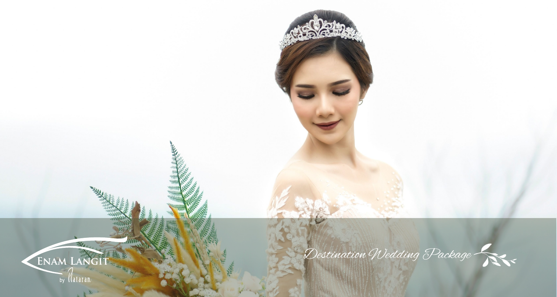